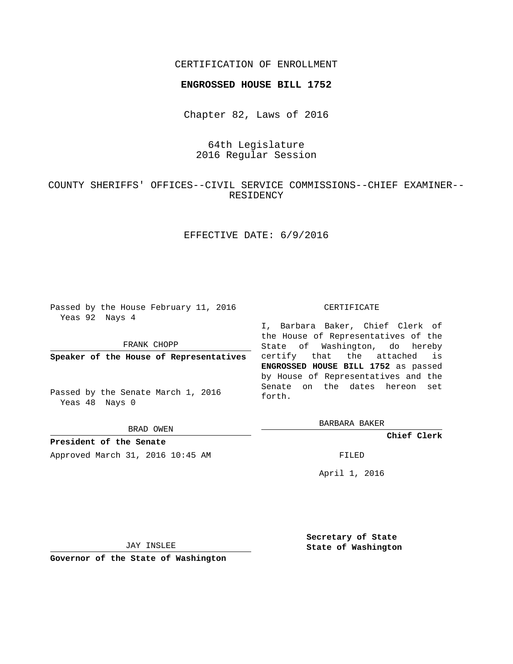### CERTIFICATION OF ENROLLMENT

#### **ENGROSSED HOUSE BILL 1752**

Chapter 82, Laws of 2016

# 64th Legislature 2016 Regular Session

COUNTY SHERIFFS' OFFICES--CIVIL SERVICE COMMISSIONS--CHIEF EXAMINER-- RESIDENCY

## EFFECTIVE DATE: 6/9/2016

Passed by the House February 11, 2016 Yeas 92 Nays 4

FRANK CHOPP

**Speaker of the House of Representatives**

Passed by the Senate March 1, 2016 Yeas 48 Nays 0

BRAD OWEN

**President of the Senate** Approved March 31, 2016 10:45 AM FILED

#### CERTIFICATE

I, Barbara Baker, Chief Clerk of the House of Representatives of the State of Washington, do hereby certify that the attached is **ENGROSSED HOUSE BILL 1752** as passed by House of Representatives and the Senate on the dates hereon set forth.

BARBARA BAKER

**Chief Clerk**

April 1, 2016

JAY INSLEE

**Governor of the State of Washington**

**Secretary of State State of Washington**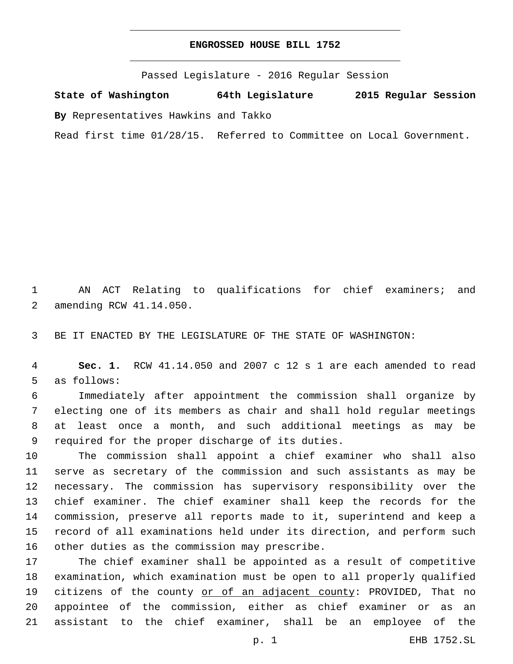### **ENGROSSED HOUSE BILL 1752**

Passed Legislature - 2016 Regular Session

**State of Washington 64th Legislature 2015 Regular Session**

**By** Representatives Hawkins and Takko

Read first time 01/28/15. Referred to Committee on Local Government.

1 AN ACT Relating to qualifications for chief examiners; and 2 amending RCW 41.14.050.

3 BE IT ENACTED BY THE LEGISLATURE OF THE STATE OF WASHINGTON:

4 **Sec. 1.** RCW 41.14.050 and 2007 c 12 s 1 are each amended to read 5 as follows:

 Immediately after appointment the commission shall organize by electing one of its members as chair and shall hold regular meetings at least once a month, and such additional meetings as may be 9 required for the proper discharge of its duties.

 The commission shall appoint a chief examiner who shall also serve as secretary of the commission and such assistants as may be necessary. The commission has supervisory responsibility over the chief examiner. The chief examiner shall keep the records for the commission, preserve all reports made to it, superintend and keep a record of all examinations held under its direction, and perform such 16 other duties as the commission may prescribe.

 The chief examiner shall be appointed as a result of competitive examination, which examination must be open to all properly qualified 19 citizens of the county or of an adjacent county: PROVIDED, That no appointee of the commission, either as chief examiner or as an assistant to the chief examiner, shall be an employee of the